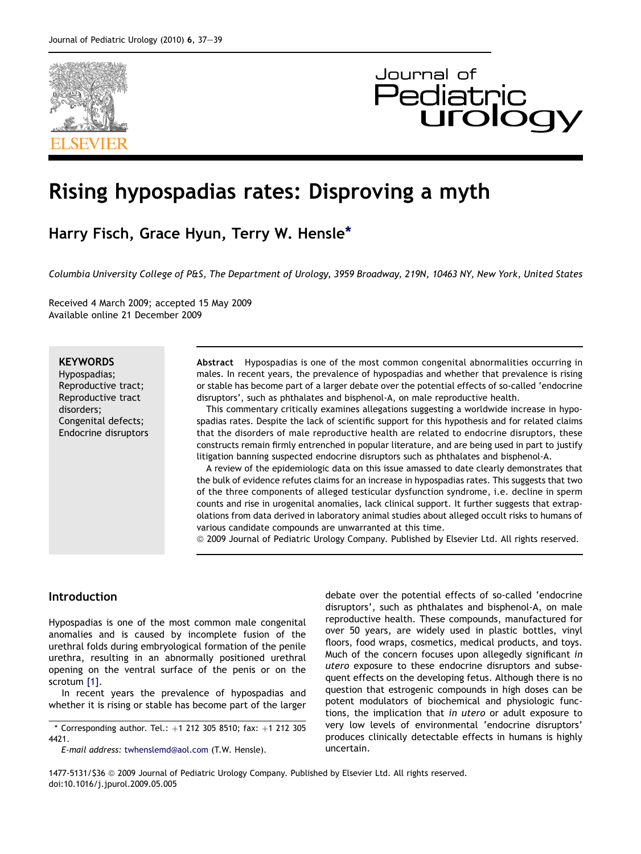

# Journal of **Pediatrio**

# Rising hypospadias rates: Disproving a myth

Harry Fisch, Grace Hyun, Terry W. Hensle\*

Columbia University College of P&S, The Department of Urology, 3959 Broadway, 219N, 10463 NY, New York, United States

Received 4 March 2009; accepted 15 May 2009 Available online 21 December 2009

### **KEYWORDS**

Hypospadias; Reproductive tract; Reproductive tract disorders; Congenital defects; Endocrine disruptors Abstract Hypospadias is one of the most common congenital abnormalities occurring in males. In recent years, the prevalence of hypospadias and whether that prevalence is rising or stable has become part of a larger debate over the potential effects of so-called 'endocrine disruptors', such as phthalates and bisphenol-A, on male reproductive health.

This commentary critically examines allegations suggesting a worldwide increase in hypospadias rates. Despite the lack of scientific support for this hypothesis and for related claims that the disorders of male reproductive health are related to endocrine disruptors, these constructs remain firmly entrenched in popular literature, and are being used in part to justify litigation banning suspected endocrine disruptors such as phthalates and bisphenol-A.

A review of the epidemiologic data on this issue amassed to date clearly demonstrates that the bulk of evidence refutes claims for an increase in hypospadias rates. This suggests that two of the three components of alleged testicular dysfunction syndrome, i.e. decline in sperm counts and rise in urogenital anomalies, lack clinical support. It further suggests that extrapolations from data derived in laboratory animal studies about alleged occult risks to humans of various candidate compounds are unwarranted at this time.

ª 2009 Journal of Pediatric Urology Company. Published by Elsevier Ltd. All rights reserved.

#### Introduction

Hypospadias is one of the most common male congenital anomalies and is caused by incomplete fusion of the urethral folds during embryological formation of the penile urethra, resulting in an abnormally positioned urethral opening on the ventral surface of the penis or on the scrotum [\[1\].](#page-2-0)

In recent years the prevalence of hypospadias and whether it is rising or stable has become part of the larger

 $*$  Corresponding author. Tel.:  $+1$  212 305 8510; fax:  $+1$  212 305 4421.

E-mail address: [twhenslemd@aol.com](mailto:twhenslemd@aol.com) (T.W. Hensle).

debate over the potential effects of so-called 'endocrine disruptors', such as phthalates and bisphenol-A, on male reproductive health. These compounds, manufactured for over 50 years, are widely used in plastic bottles, vinyl floors, food wraps, cosmetics, medical products, and toys. Much of the concern focuses upon allegedly significant in utero exposure to these endocrine disruptors and subsequent effects on the developing fetus. Although there is no question that estrogenic compounds in high doses can be potent modulators of biochemical and physiologic functions, the implication that in utero or adult exposure to very low levels of environmental 'endocrine disruptors' produces clinically detectable effects in humans is highly uncertain.

1477-5131/\$36 @ 2009 Journal of Pediatric Urology Company. Published by Elsevier Ltd. All rights reserved. doi:10.1016/j.jpurol.2009.05.005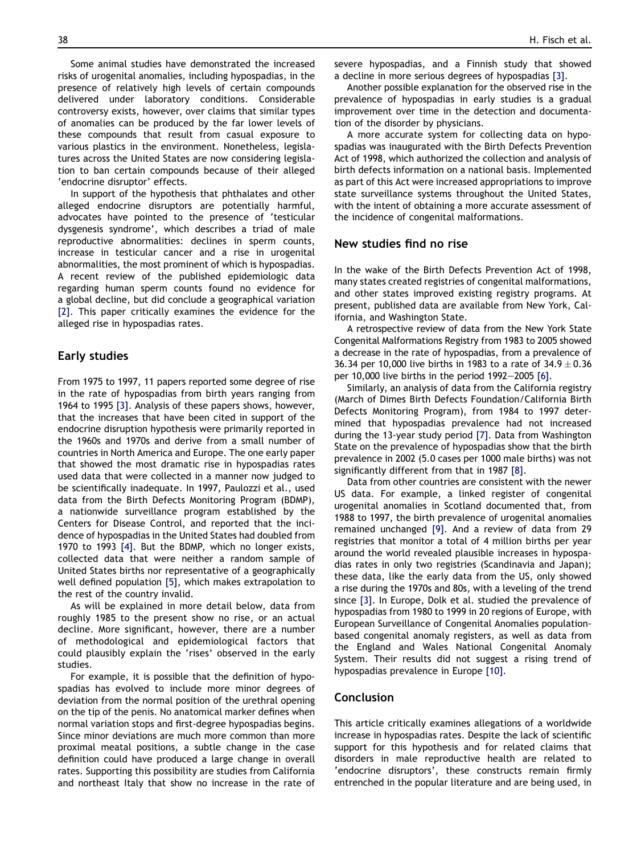Some animal studies have demonstrated the increased risks of urogenital anomalies, including hypospadias, in the presence of relatively high levels of certain compounds delivered under laboratory conditions. Considerable controversy exists, however, over claims that similar types of anomalies can be produced by the far lower levels of these compounds that result from casual exposure to various plastics in the environment. Nonetheless, legislatures across the United States are now considering legislation to ban certain compounds because of their alleged 'endocrine disruptor' effects.

In support of the hypothesis that phthalates and other alleged endocrine disruptors are potentially harmful, advocates have pointed to the presence of 'testicular dysgenesis syndrome', which describes a triad of male reproductive abnormalities: declines in sperm counts, increase in testicular cancer and a rise in urogenital abnormalities, the most prominent of which is hypospadias. A recent review of the published epidemiologic data regarding human sperm counts found no evidence for a global decline, but did conclude a geographical variation [\[2\].](#page-2-0) This paper critically examines the evidence for the alleged rise in hypospadias rates.

#### Early studies

From 1975 to 1997, 11 papers reported some degree of rise in the rate of hypospadias from birth years ranging from 1964 to 1995 [\[3\]](#page-2-0). Analysis of these papers shows, however, that the increases that have been cited in support of the endocrine disruption hypothesis were primarily reported in the 1960s and 1970s and derive from a small number of countries in North America and Europe. The one early paper that showed the most dramatic rise in hypospadias rates used data that were collected in a manner now judged to be scientifically inadequate. In 1997, Paulozzi et al., used data from the Birth Defects Monitoring Program (BDMP), a nationwide surveillance program established by the Centers for Disease Control, and reported that the incidence of hypospadias in the United States had doubled from 1970 to 1993 [\[4\]](#page-2-0). But the BDMP, which no longer exists, collected data that were neither a random sample of United States births nor representative of a geographically well defined population [\[5\],](#page-2-0) which makes extrapolation to the rest of the country invalid.

As will be explained in more detail below, data from roughly 1985 to the present show no rise, or an actual decline. More significant, however, there are a number of methodological and epidemiological factors that could plausibly explain the 'rises' observed in the early studies.

For example, it is possible that the definition of hypospadias has evolved to include more minor degrees of deviation from the normal position of the urethral opening on the tip of the penis. No anatomical marker defines when normal variation stops and first-degree hypospadias begins. Since minor deviations are much more common than more proximal meatal positions, a subtle change in the case definition could have produced a large change in overall rates. Supporting this possibility are studies from California and northeast Italy that show no increase in the rate of severe hypospadias, and a Finnish study that showed a decline in more serious degrees of hypospadias [\[3\].](#page-2-0)

Another possible explanation for the observed rise in the prevalence of hypospadias in early studies is a gradual improvement over time in the detection and documentation of the disorder by physicians.

A more accurate system for collecting data on hypospadias was inaugurated with the Birth Defects Prevention Act of 1998, which authorized the collection and analysis of birth defects information on a national basis. Implemented as part of this Act were increased appropriations to improve state surveillance systems throughout the United States, with the intent of obtaining a more accurate assessment of the incidence of congenital malformations.

#### New studies find no rise

In the wake of the Birth Defects Prevention Act of 1998, many states created registries of congenital malformations, and other states improved existing registry programs. At present, published data are available from New York, California, and Washington State.

A retrospective review of data from the New York State Congenital Malformations Registry from 1983 to 2005 showed a decrease in the rate of hypospadias, from a prevalence of 36.34 per 10,000 live births in 1983 to a rate of 34.9  $\pm$  0.36  $\,$ per 10,000 live births in the period  $1992-2005$  [\[6\]](#page-2-0).

Similarly, an analysis of data from the California registry (March of Dimes Birth Defects Foundation/California Birth Defects Monitoring Program), from 1984 to 1997 determined that hypospadias prevalence had not increased during the 13-year study period [\[7\].](#page-2-0) Data from Washington State on the prevalence of hypospadias show that the birth prevalence in 2002 (5.0 cases per 1000 male births) was not significantly different from that in 1987 [\[8\]](#page-2-0).

Data from other countries are consistent with the newer US data. For example, a linked register of congenital urogenital anomalies in Scotland documented that, from 1988 to 1997, the birth prevalence of urogenital anomalies remained unchanged [\[9\].](#page-2-0) And a review of data from 29 registries that monitor a total of 4 million births per year around the world revealed plausible increases in hypospadias rates in only two registries (Scandinavia and Japan); these data, like the early data from the US, only showed a rise during the 1970s and 80s, with a leveling of the trend since [\[3\].](#page-2-0) In Europe, Dolk et al. studied the prevalence of hypospadias from 1980 to 1999 in 20 regions of Europe, with European Surveillance of Congenital Anomalies populationbased congenital anomaly registers, as well as data from the England and Wales National Congenital Anomaly System. Their results did not suggest a rising trend of hypospadias prevalence in Europe [\[10\]](#page-2-0).

#### Conclusion

This article critically examines allegations of a worldwide increase in hypospadias rates. Despite the lack of scientific support for this hypothesis and for related claims that disorders in male reproductive health are related to 'endocrine disruptors', these constructs remain firmly entrenched in the popular literature and are being used, in